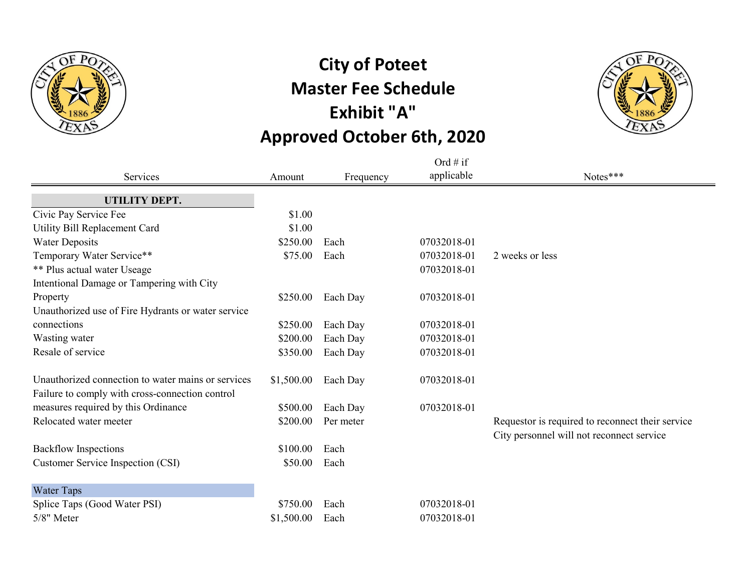

## **City of Poteet Master Fee Schedule Exhibit "A" Approved October 6th, 2020**



|                                                    |            |           | Ord # if    |                                                  |
|----------------------------------------------------|------------|-----------|-------------|--------------------------------------------------|
| Services                                           | Amount     | Frequency | applicable  | Notes***                                         |
| UTILITY DEPT.                                      |            |           |             |                                                  |
| Civic Pay Service Fee                              | \$1.00     |           |             |                                                  |
| Utility Bill Replacement Card                      | \$1.00     |           |             |                                                  |
| <b>Water Deposits</b>                              | \$250.00   | Each      | 07032018-01 |                                                  |
| Temporary Water Service**                          | \$75.00    | Each      | 07032018-01 | 2 weeks or less                                  |
| <b>** Plus actual water Useage</b>                 |            |           | 07032018-01 |                                                  |
| Intentional Damage or Tampering with City          |            |           |             |                                                  |
| Property                                           | \$250.00   | Each Day  | 07032018-01 |                                                  |
| Unauthorized use of Fire Hydrants or water service |            |           |             |                                                  |
| connections                                        | \$250.00   | Each Day  | 07032018-01 |                                                  |
| Wasting water                                      | \$200.00   | Each Day  | 07032018-01 |                                                  |
| Resale of service                                  | \$350.00   | Each Day  | 07032018-01 |                                                  |
| Unauthorized connection to water mains or services | \$1,500.00 | Each Day  | 07032018-01 |                                                  |
| Failure to comply with cross-connection control    |            |           |             |                                                  |
| measures required by this Ordinance                | \$500.00   | Each Day  | 07032018-01 |                                                  |
| Relocated water meeter                             | \$200.00   | Per meter |             | Requestor is required to reconnect their service |
|                                                    |            |           |             | City personnel will not reconnect service        |
| <b>Backflow Inspections</b>                        | \$100.00   | Each      |             |                                                  |
| Customer Service Inspection (CSI)                  | \$50.00    | Each      |             |                                                  |
| Water Taps                                         |            |           |             |                                                  |
| Splice Taps (Good Water PSI)                       | \$750.00   | Each      | 07032018-01 |                                                  |
| 5/8" Meter                                         | \$1,500.00 | Each      | 07032018-01 |                                                  |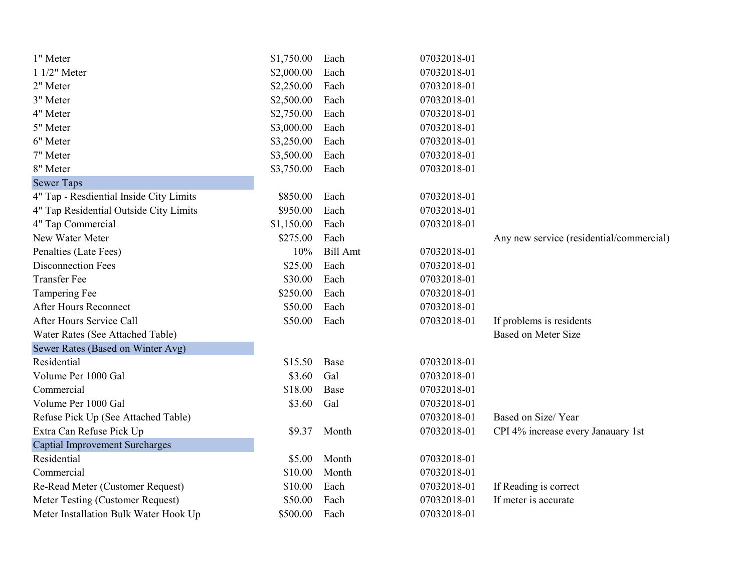| 1" Meter                                | \$1,750.00 | Each            | 07032018-01 |                                          |
|-----------------------------------------|------------|-----------------|-------------|------------------------------------------|
| 1 1/2" Meter                            | \$2,000.00 | Each            | 07032018-01 |                                          |
| 2" Meter                                | \$2,250.00 | Each            | 07032018-01 |                                          |
| 3" Meter                                | \$2,500.00 | Each            | 07032018-01 |                                          |
| 4" Meter                                | \$2,750.00 | Each            | 07032018-01 |                                          |
| 5" Meter                                | \$3,000.00 | Each            | 07032018-01 |                                          |
| 6" Meter                                | \$3,250.00 | Each            | 07032018-01 |                                          |
| 7" Meter                                | \$3,500.00 | Each            | 07032018-01 |                                          |
| 8" Meter                                | \$3,750.00 | Each            | 07032018-01 |                                          |
| <b>Sewer Taps</b>                       |            |                 |             |                                          |
| 4" Tap - Resdiential Inside City Limits | \$850.00   | Each            | 07032018-01 |                                          |
| 4" Tap Residential Outside City Limits  | \$950.00   | Each            | 07032018-01 |                                          |
| 4" Tap Commercial                       | \$1,150.00 | Each            | 07032018-01 |                                          |
| New Water Meter                         | \$275.00   | Each            |             | Any new service (residential/commercial) |
| Penalties (Late Fees)                   | 10%        | <b>Bill Amt</b> | 07032018-01 |                                          |
| <b>Disconnection Fees</b>               | \$25.00    | Each            | 07032018-01 |                                          |
| <b>Transfer Fee</b>                     | \$30.00    | Each            | 07032018-01 |                                          |
| <b>Tampering Fee</b>                    | \$250.00   | Each            | 07032018-01 |                                          |
| <b>After Hours Reconnect</b>            | \$50.00    | Each            | 07032018-01 |                                          |
| After Hours Service Call                | \$50.00    | Each            | 07032018-01 | If problems is residents                 |
| Water Rates (See Attached Table)        |            |                 |             | <b>Based on Meter Size</b>               |
| Sewer Rates (Based on Winter Avg)       |            |                 |             |                                          |
| Residential                             | \$15.50    | Base            | 07032018-01 |                                          |
| Volume Per 1000 Gal                     | \$3.60     | Gal             | 07032018-01 |                                          |
| Commercial                              | \$18.00    | Base            | 07032018-01 |                                          |
| Volume Per 1000 Gal                     | \$3.60     | Gal             | 07032018-01 |                                          |
| Refuse Pick Up (See Attached Table)     |            |                 | 07032018-01 | Based on Size/Year                       |
| Extra Can Refuse Pick Up                | \$9.37     | Month           | 07032018-01 | CPI 4% increase every Janauary 1st       |
| <b>Captial Improvement Surcharges</b>   |            |                 |             |                                          |
| Residential                             | \$5.00     | Month           | 07032018-01 |                                          |
| Commercial                              | \$10.00    | Month           | 07032018-01 |                                          |
| Re-Read Meter (Customer Request)        | \$10.00    | Each            | 07032018-01 | If Reading is correct                    |
| Meter Testing (Customer Request)        | \$50.00    | Each            | 07032018-01 | If meter is accurate                     |
| Meter Installation Bulk Water Hook Up   | \$500.00   | Each            | 07032018-01 |                                          |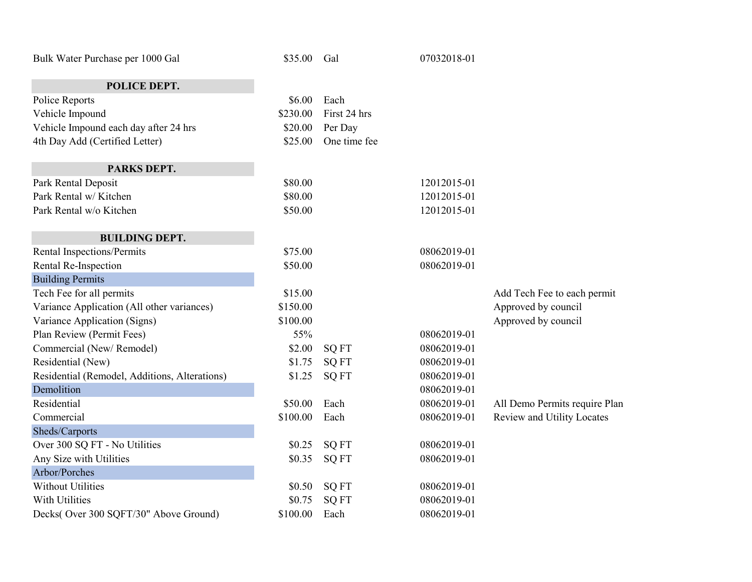| Bulk Water Purchase per 1000 Gal              | \$35.00  | Gal          | 07032018-01 |                               |
|-----------------------------------------------|----------|--------------|-------------|-------------------------------|
| POLICE DEPT.                                  |          |              |             |                               |
| Police Reports                                | \$6.00   | Each         |             |                               |
| Vehicle Impound                               | \$230.00 | First 24 hrs |             |                               |
| Vehicle Impound each day after 24 hrs         | \$20.00  | Per Day      |             |                               |
| 4th Day Add (Certified Letter)                | \$25.00  | One time fee |             |                               |
| PARKS DEPT.                                   |          |              |             |                               |
| Park Rental Deposit                           | \$80.00  |              | 12012015-01 |                               |
| Park Rental w/ Kitchen                        | \$80.00  |              | 12012015-01 |                               |
| Park Rental w/o Kitchen                       | \$50.00  |              | 12012015-01 |                               |
| <b>BUILDING DEPT.</b>                         |          |              |             |                               |
| Rental Inspections/Permits                    | \$75.00  |              | 08062019-01 |                               |
| Rental Re-Inspection                          | \$50.00  |              | 08062019-01 |                               |
| <b>Building Permits</b>                       |          |              |             |                               |
| Tech Fee for all permits                      | \$15.00  |              |             | Add Tech Fee to each permit   |
| Variance Application (All other variances)    | \$150.00 |              |             | Approved by council           |
| Variance Application (Signs)                  | \$100.00 |              |             | Approved by council           |
| Plan Review (Permit Fees)                     | 55%      |              | 08062019-01 |                               |
| Commercial (New/Remodel)                      | \$2.00   | <b>SQ FT</b> | 08062019-01 |                               |
| Residential (New)                             | \$1.75   | <b>SQ FT</b> | 08062019-01 |                               |
| Residential (Remodel, Additions, Alterations) | \$1.25   | <b>SQ FT</b> | 08062019-01 |                               |
| Demolition                                    |          |              | 08062019-01 |                               |
| Residential                                   | \$50.00  | Each         | 08062019-01 | All Demo Permits require Plan |
| Commercial                                    | \$100.00 | Each         | 08062019-01 | Review and Utility Locates    |
| Sheds/Carports                                |          |              |             |                               |
| Over 300 SQ FT - No Utilities                 | \$0.25   | <b>SQ FT</b> | 08062019-01 |                               |
| Any Size with Utilities                       | \$0.35   | <b>SQ FT</b> | 08062019-01 |                               |
| Arbor/Porches                                 |          |              |             |                               |
| <b>Without Utilities</b>                      | \$0.50   | <b>SQ FT</b> | 08062019-01 |                               |
| With Utilities                                | \$0.75   | <b>SQ FT</b> | 08062019-01 |                               |
| Decks(Over 300 SQFT/30" Above Ground)         | \$100.00 | Each         | 08062019-01 |                               |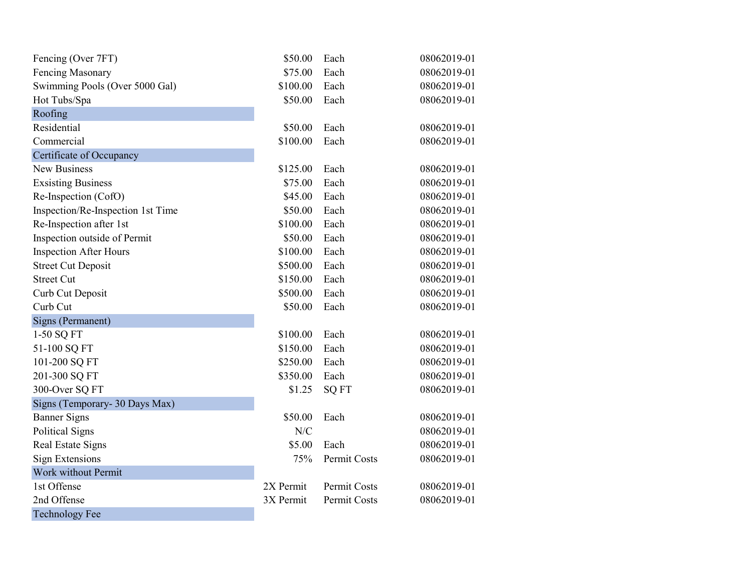| Fencing (Over 7FT)                | \$50.00   | Each         | 08062019-01 |
|-----------------------------------|-----------|--------------|-------------|
| <b>Fencing Masonary</b>           | \$75.00   | Each         | 08062019-01 |
| Swimming Pools (Over 5000 Gal)    | \$100.00  | Each         | 08062019-01 |
| Hot Tubs/Spa                      | \$50.00   | Each         | 08062019-01 |
| Roofing                           |           |              |             |
| Residential                       | \$50.00   | Each         | 08062019-01 |
| Commercial                        | \$100.00  | Each         | 08062019-01 |
| Certificate of Occupancy          |           |              |             |
| <b>New Business</b>               | \$125.00  | Each         | 08062019-01 |
| <b>Exsisting Business</b>         | \$75.00   | Each         | 08062019-01 |
| Re-Inspection (CofO)              | \$45.00   | Each         | 08062019-01 |
| Inspection/Re-Inspection 1st Time | \$50.00   | Each         | 08062019-01 |
| Re-Inspection after 1st           | \$100.00  | Each         | 08062019-01 |
| Inspection outside of Permit      | \$50.00   | Each         | 08062019-01 |
| <b>Inspection After Hours</b>     | \$100.00  | Each         | 08062019-01 |
| <b>Street Cut Deposit</b>         | \$500.00  | Each         | 08062019-01 |
| <b>Street Cut</b>                 | \$150.00  | Each         | 08062019-01 |
| Curb Cut Deposit                  | \$500.00  | Each         | 08062019-01 |
| Curb Cut                          | \$50.00   | Each         | 08062019-01 |
| Signs (Permanent)                 |           |              |             |
| 1-50 SQ FT                        | \$100.00  | Each         | 08062019-01 |
| 51-100 SQ FT                      | \$150.00  | Each         | 08062019-01 |
| 101-200 SQ FT                     | \$250.00  | Each         | 08062019-01 |
| 201-300 SQ FT                     | \$350.00  | Each         | 08062019-01 |
| 300-Over SQ FT                    | \$1.25    | <b>SQ FT</b> | 08062019-01 |
| Signs (Temporary- 30 Days Max)    |           |              |             |
| <b>Banner Signs</b>               | \$50.00   | Each         | 08062019-01 |
| <b>Political Signs</b>            | N/C       |              | 08062019-01 |
| Real Estate Signs                 | \$5.00    | Each         | 08062019-01 |
| <b>Sign Extensions</b>            | 75%       | Permit Costs | 08062019-01 |
| Work without Permit               |           |              |             |
| 1st Offense                       | 2X Permit | Permit Costs | 08062019-01 |
| 2nd Offense                       | 3X Permit | Permit Costs | 08062019-01 |
| <b>Technology Fee</b>             |           |              |             |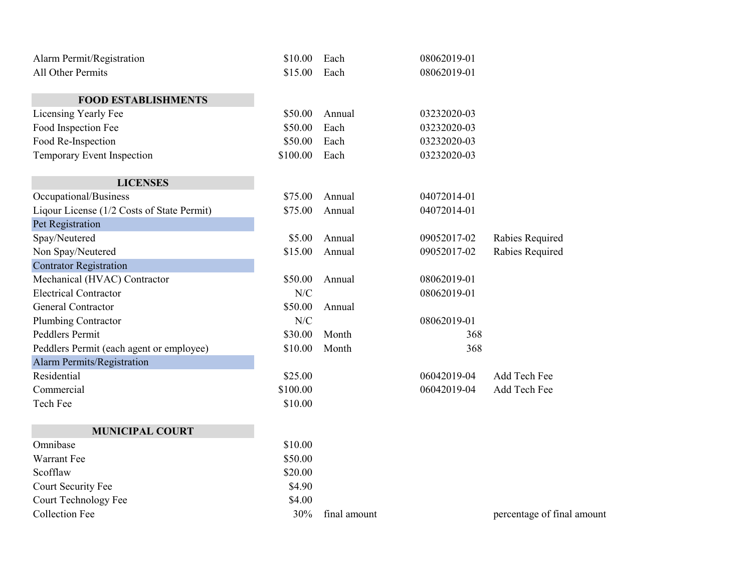| Alarm Permit/Registration                  | \$10.00  | Each         | 08062019-01 |                   |
|--------------------------------------------|----------|--------------|-------------|-------------------|
| All Other Permits                          | \$15.00  | Each         | 08062019-01 |                   |
| <b>FOOD ESTABLISHMENTS</b>                 |          |              |             |                   |
| Licensing Yearly Fee                       | \$50.00  | Annual       | 03232020-03 |                   |
| Food Inspection Fee                        | \$50.00  | Each         | 03232020-03 |                   |
| Food Re-Inspection                         | \$50.00  | Each         | 03232020-03 |                   |
| Temporary Event Inspection                 | \$100.00 | Each         | 03232020-03 |                   |
| <b>LICENSES</b>                            |          |              |             |                   |
| Occupational/Business                      | \$75.00  | Annual       | 04072014-01 |                   |
| Liqour License (1/2 Costs of State Permit) | \$75.00  | Annual       | 04072014-01 |                   |
| Pet Registration                           |          |              |             |                   |
| Spay/Neutered                              | \$5.00   | Annual       | 09052017-02 | Rabies Required   |
| Non Spay/Neutered                          | \$15.00  | Annual       | 09052017-02 | Rabies Required   |
| <b>Contrator Registration</b>              |          |              |             |                   |
| Mechanical (HVAC) Contractor               | \$50.00  | Annual       | 08062019-01 |                   |
| <b>Electrical Contractor</b>               | N/C      |              | 08062019-01 |                   |
| <b>General Contractor</b>                  | \$50.00  | Annual       |             |                   |
| Plumbing Contractor                        | N/C      |              | 08062019-01 |                   |
| Peddlers Permit                            | \$30.00  | Month        | 368         |                   |
| Peddlers Permit (each agent or employee)   | \$10.00  | Month        | 368         |                   |
| Alarm Permits/Registration                 |          |              |             |                   |
| Residential                                | \$25.00  |              | 06042019-04 | Add Tech Fee      |
| Commercial                                 | \$100.00 |              | 06042019-04 | Add Tech Fee      |
| Tech Fee                                   | \$10.00  |              |             |                   |
| <b>MUNICIPAL COURT</b>                     |          |              |             |                   |
| Omnibase                                   | \$10.00  |              |             |                   |
| Warrant Fee                                | \$50.00  |              |             |                   |
| Scofflaw                                   | \$20.00  |              |             |                   |
| Court Security Fee                         | \$4.90   |              |             |                   |
| Court Technology Fee                       | \$4.00   |              |             |                   |
| <b>Collection Fee</b>                      | 30%      | final amount |             | percentage of fir |

percentage of final amount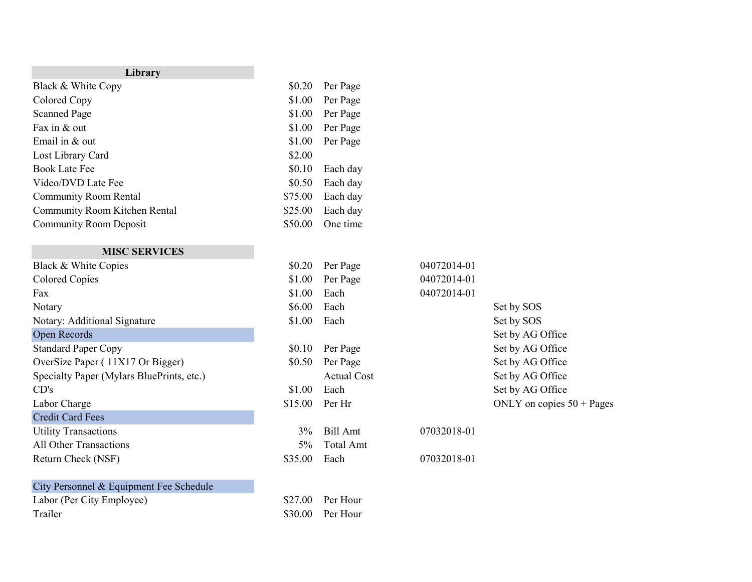| Library                       |         |          |
|-------------------------------|---------|----------|
| Black & White Copy            | \$0.20  | Per Page |
| Colored Copy                  | \$1.00  | Per Page |
| <b>Scanned Page</b>           | \$1.00  | Per Page |
| Fax in & out                  | \$1.00  | Per Page |
| Email in $&$ out              | \$1.00  | Per Page |
| Lost Library Card             | \$2.00  |          |
| <b>Book Late Fee</b>          | \$0.10  | Each day |
| Video/DVD Late Fee            | \$0.50  | Each day |
| <b>Community Room Rental</b>  | \$75.00 | Each day |
| Community Room Kitchen Rental | \$25.00 | Each day |
| <b>Community Room Deposit</b> | \$50.00 | One time |

## **MISC SERVICES**

| \$1.00<br>\$1.00<br>\$6.00 | Per Page<br>Each   | 04072014-01<br>04072014-01 |            |
|----------------------------|--------------------|----------------------------|------------|
|                            |                    |                            |            |
|                            |                    |                            |            |
|                            | Each               |                            | Set by SOS |
| \$1.00                     | Each               |                            | Set by SOS |
|                            |                    |                            | Set by AG  |
| \$0.10                     | Per Page           |                            | Set by AG  |
| \$0.50                     | Per Page           |                            | Set by AG  |
|                            | <b>Actual Cost</b> |                            | Set by AG  |
| \$1.00                     | Each               |                            | Set by AG  |
| \$15.00                    | Per Hr             |                            | ONLY on c  |
|                            |                    |                            |            |
| $3\%$                      | Bill Amt           | 07032018-01                |            |
| $5\%$                      | Total Amt          |                            |            |
| \$35.00                    | Each               | 07032018-01                |            |
|                            |                    |                            |            |

Labor (Per City Employee)  $$27.00$  Per Hour Trailer \$30.00 Per Hour

Set by SOS Set by AG Office Set by AG Office Set by AG Office Set by AG Office Set by AG Office ONLY on copies  $50 + Pages$